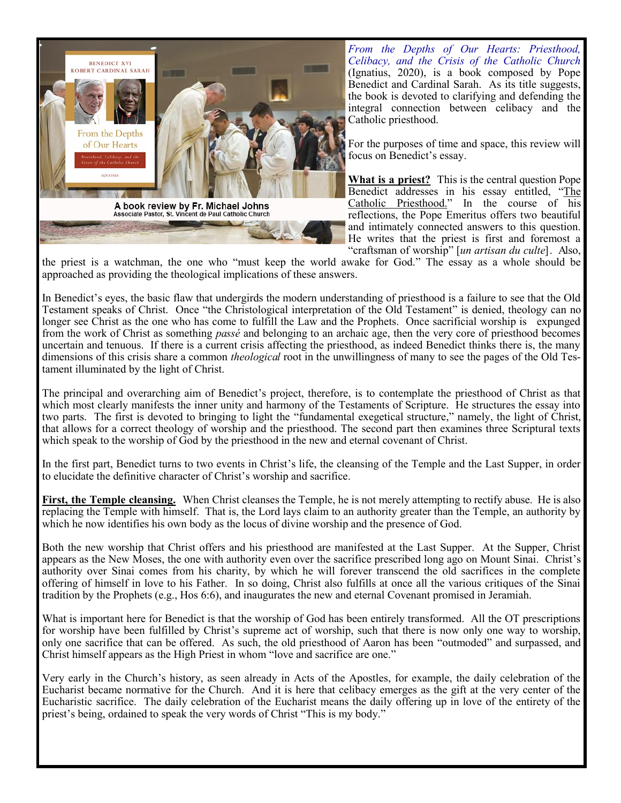

*From the Depths of Our Hearts: Priesthood, Celibacy, and the Crisis of the Catholic Church* (Ignatius, 2020), is a book composed by Pope Benedict and Cardinal Sarah. As its title suggests, the book is devoted to clarifying and defending the integral connection between celibacy and the Catholic priesthood.

For the purposes of time and space, this review will focus on Benedict's essay.

**What is a priest?** This is the central question Pope Benedict addresses in his essay entitled, "The Catholic Priesthood." In the course of his reflections, the Pope Emeritus offers two beautiful and intimately connected answers to this question. He writes that the priest is first and foremost a "craftsman of worship" [*un artisan du culte*]. Also,

the priest is a watchman, the one who "must keep the world awake for God." The essay as a whole should be approached as providing the theological implications of these answers.

In Benedict's eyes, the basic flaw that undergirds the modern understanding of priesthood is a failure to see that the Old Testament speaks of Christ. Once "the Christological interpretation of the Old Testament" is denied, theology can no longer see Christ as the one who has come to fulfill the Law and the Prophets. Once sacrificial worship is expunged from the work of Christ as something *passé* and belonging to an archaic age, then the very core of priesthood becomes uncertain and tenuous. If there is a current crisis affecting the priesthood, as indeed Benedict thinks there is, the many dimensions of this crisis share a common *theological* root in the unwillingness of many to see the pages of the Old Testament illuminated by the light of Christ.

The principal and overarching aim of Benedict's project, therefore, is to contemplate the priesthood of Christ as that which most clearly manifests the inner unity and harmony of the Testaments of Scripture. He structures the essay into two parts. The first is devoted to bringing to light the "fundamental exegetical structure," namely, the light of Christ, that allows for a correct theology of worship and the priesthood. The second part then examines three Scriptural texts which speak to the worship of God by the priesthood in the new and eternal covenant of Christ.

In the first part, Benedict turns to two events in Christ's life, the cleansing of the Temple and the Last Supper, in order to elucidate the definitive character of Christ's worship and sacrifice.

**First, the Temple cleansing.** When Christ cleanses the Temple, he is not merely attempting to rectify abuse. He is also replacing the Temple with himself. That is, the Lord lays claim to an authority greater than the Temple, an authority by which he now identifies his own body as the locus of divine worship and the presence of God.

Both the new worship that Christ offers and his priesthood are manifested at the Last Supper. At the Supper, Christ appears as the New Moses, the one with authority even over the sacrifice prescribed long ago on Mount Sinai. Christ's authority over Sinai comes from his charity, by which he will forever transcend the old sacrifices in the complete offering of himself in love to his Father. In so doing, Christ also fulfills at once all the various critiques of the Sinai tradition by the Prophets (e.g., Hos 6:6), and inaugurates the new and eternal Covenant promised in Jeramiah.

What is important here for Benedict is that the worship of God has been entirely transformed. All the OT prescriptions for worship have been fulfilled by Christ's supreme act of worship, such that there is now only one way to worship, only one sacrifice that can be offered. As such, the old priesthood of Aaron has been "outmoded" and surpassed, and Christ himself appears as the High Priest in whom "love and sacrifice are one."

Very early in the Church's history, as seen already in Acts of the Apostles, for example, the daily celebration of the Eucharist became normative for the Church. And it is here that celibacy emerges as the gift at the very center of the Eucharistic sacrifice. The daily celebration of the Eucharist means the daily offering up in love of the entirety of the priest's being, ordained to speak the very words of Christ "This is my body."